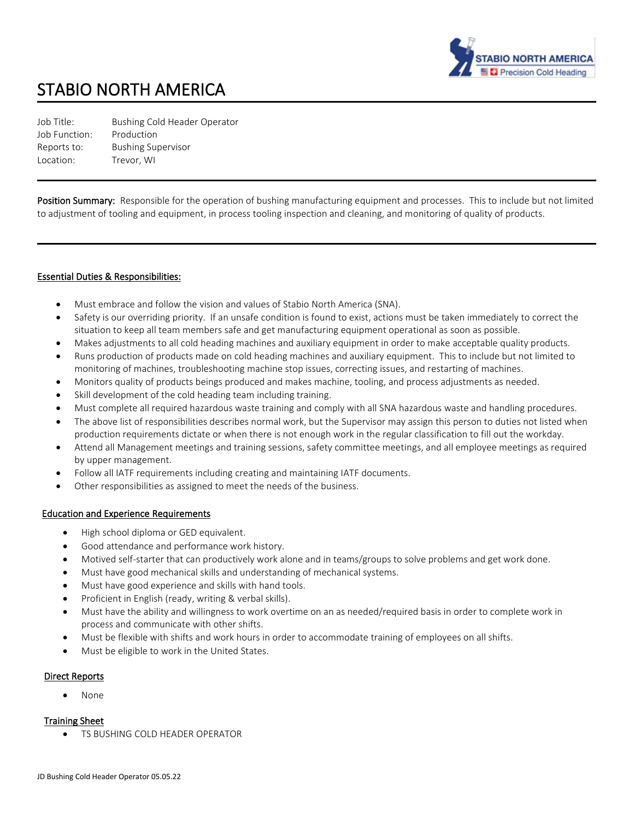

# STABIO NORTH AMERICA

Job Title: Bushing Cold Header Operator Job Function: Production Reports to: Bushing Supervisor Location: Trevor, WI

Position Summary: Responsible for the operation of bushing manufacturing equipment and processes. This to include but not limited to adjustment of tooling and equipment, in process tooling inspection and cleaning, and monitoring of quality of products.

#### Essential Duties & Responsibilities:

- Must embrace and follow the vision and values of Stabio North America (SNA).
- Safety is our overriding priority. If an unsafe condition is found to exist, actions must be taken immediately to correct the situation to keep all team members safe and get manufacturing equipment operational as soon as possible.
- Makes adjustments to all cold heading machines and auxiliary equipment in order to make acceptable quality products.
- Runs production of products made on cold heading machines and auxiliary equipment. This to include but not limited to monitoring of machines, troubleshooting machine stop issues, correcting issues, and restarting of machines.
- Monitors quality of products beings produced and makes machine, tooling, and process adjustments as needed.
- Skill development of the cold heading team including training.
- Must complete all required hazardous waste training and comply with all SNA hazardous waste and handling procedures.
- The above list of responsibilities describes normal work, but the Supervisor may assign this person to duties not listed when production requirements dictate or when there is not enough work in the regular classification to fill out the workday.
- Attend all Management meetings and training sessions, safety committee meetings, and all employee meetings as required by upper management.
- Follow all IATF requirements including creating and maintaining IATF documents.
- Other responsibilities as assigned to meet the needs of the business.

#### Education and Experience Requirements

- High school diploma or GED equivalent.
- Good attendance and performance work history.
- Motived self-starter that can productively work alone and in teams/groups to solve problems and get work done.
- Must have good mechanical skills and understanding of mechanical systems.
- Must have good experience and skills with hand tools.
- Proficient in English (ready, writing & verbal skills).
- Must have the ability and willingness to work overtime on an as needed/required basis in order to complete work in process and communicate with other shifts.
- Must be flexible with shifts and work hours in order to accommodate training of employees on all shifts.
- Must be eligible to work in the United States.

#### Direct Reports

• None

#### Training Sheet

TS BUSHING COLD HEADER OPERATOR